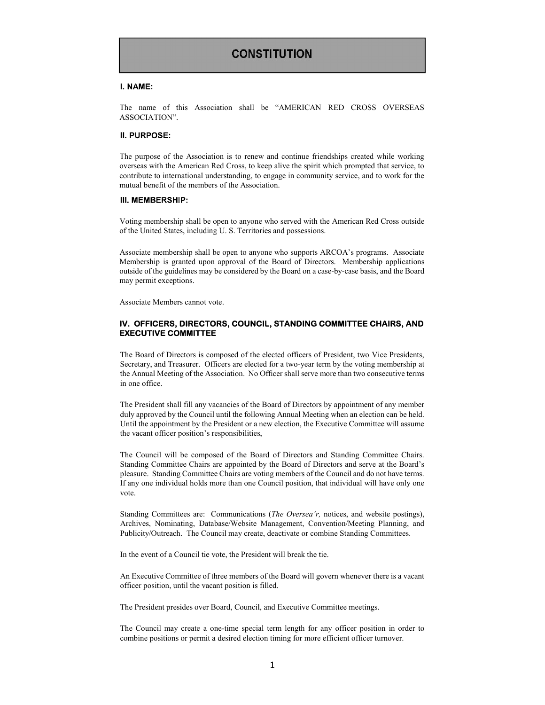## **CONSTITUTION**

### I. NAME:

The name of this Association shall be "AMERICAN RED CROSS OVERSEAS ASSOCIATION".

### II. PURPOSE:

The purpose of the Association is to renew and continue friendships created while working overseas with the American Red Cross, to keep alive the spirit which prompted that service, to contribute to international understanding, to engage in community service, and to work for the mutual benefit of the members of the Association.

## III. MEMBERSHIP:

Voting membership shall be open to anyone who served with the American Red Cross outside of the United States, including U. S. Territories and possessions.

Associate membership shall be open to anyone who supports ARCOA's programs. Associate Membership is granted upon approval of the Board of Directors. Membership applications outside of the guidelines may be considered by the Board on a case-by-case basis, and the Board may permit exceptions.

Associate Members cannot vote.

## IV. OFFICERS, DIRECTORS, COUNCIL, STANDING COMMITTEE CHAIRS, AND EXECUTIVE COMMITTEE

The Board of Directors is composed of the elected officers of President, two Vice Presidents, Secretary, and Treasurer. Officers are elected for a two-year term by the voting membership at the Annual Meeting of the Association. No Officer shall serve more than two consecutive terms in one office.

The President shall fill any vacancies of the Board of Directors by appointment of any member duly approved by the Council until the following Annual Meeting when an election can be held. Until the appointment by the President or a new election, the Executive Committee will assume the vacant officer position's responsibilities,

The Council will be composed of the Board of Directors and Standing Committee Chairs. Standing Committee Chairs are appointed by the Board of Directors and serve at the Board's pleasure. Standing Committee Chairs are voting members of the Council and do not have terms. If any one individual holds more than one Council position, that individual will have only one vote.

Standing Committees are: Communications (*The Oversea'r*, notices, and website postings), Archives, Nominating, Database/Website Management, Convention/Meeting Planning, and Publicity/Outreach. The Council may create, deactivate or combine Standing Committees.

In the event of a Council tie vote, the President will break the tie.

An Executive Committee of three members of the Board will govern whenever there is a vacant officer position, until the vacant position is filled.

The President presides over Board, Council, and Executive Committee meetings.

The Council may create a one-time special term length for any officer position in order to combine positions or permit a desired election timing for more efficient officer turnover.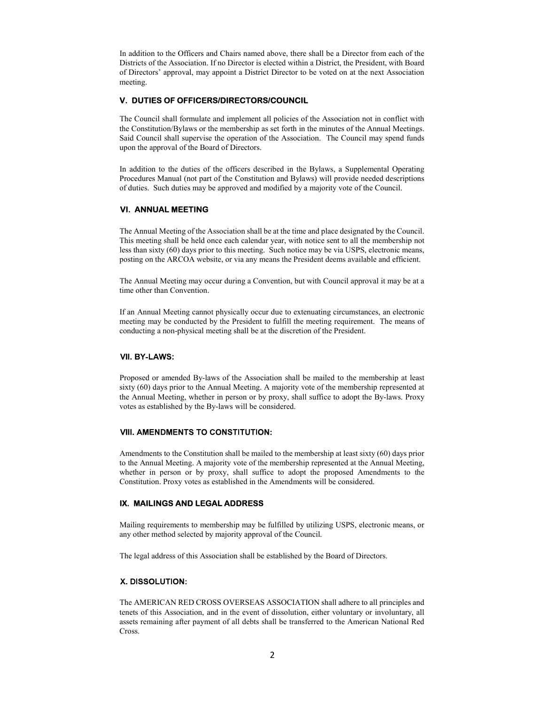In addition to the Officers and Chairs named above, there shall be a Director from each of the Districts of the Association. If no Director is elected within a District, the President, with Board of Directors' approval, may appoint a District Director to be voted on at the next Association meeting.

## V. DUTIES OF OFFICERS/DIRECTORS/COUNCIL

The Council shall formulate and implement all policies of the Association not in conflict with the Constitution/Bylaws or the membership as set forth in the minutes of the Annual Meetings. Said Council shall supervise the operation of the Association. The Council may spend funds upon the approval of the Board of Directors.

In addition to the duties of the officers described in the Bylaws, a Supplemental Operating Procedures Manual (not part of the Constitution and Bylaws) will provide needed descriptions of duties. Such duties may be approved and modified by a majority vote of the Council.

### VI. ANNUAL MEETING

The Annual Meeting of the Association shall be at the time and place designated by the Council. This meeting shall be held once each calendar year, with notice sent to all the membership not less than sixty (60) days prior to this meeting. Such notice may be via USPS, electronic means, posting on the ARCOA website, or via any means the President deems available and efficient.

The Annual Meeting may occur during a Convention, but with Council approval it may be at a time other than Convention.

If an Annual Meeting cannot physically occur due to extenuating circumstances, an electronic meeting may be conducted by the President to fulfill the meeting requirement. The means of conducting a non-physical meeting shall be at the discretion of the President.

### VII. BY-LAWS:

Proposed or amended By-laws of the Association shall be mailed to the membership at least sixty (60) days prior to the Annual Meeting. A majority vote of the membership represented at the Annual Meeting, whether in person or by proxy, shall suffice to adopt the By-laws. Proxy votes as established by the By-laws will be considered.

### **VIII. AMENDMENTS TO CONSTITUTION:**

Amendments to the Constitution shall be mailed to the membership at least sixty (60) days prior to the Annual Meeting. A majority vote of the membership represented at the Annual Meeting, whether in person or by proxy, shall suffice to adopt the proposed Amendments to the Constitution. Proxy votes as established in the Amendments will be considered.

### IX. MAILINGS AND LEGAL ADDRESS

Mailing requirements to membership may be fulfilled by utilizing USPS, electronic means, or any other method selected by majority approval of the Council.

The legal address of this Association shall be established by the Board of Directors.

### X. DISSOLUTION:

The AMERICAN RED CROSS OVERSEAS ASSOCIATION shall adhere to all principles and tenets of this Association, and in the event of dissolution, either voluntary or involuntary, all assets remaining after payment of all debts shall be transferred to the American National Red Cross.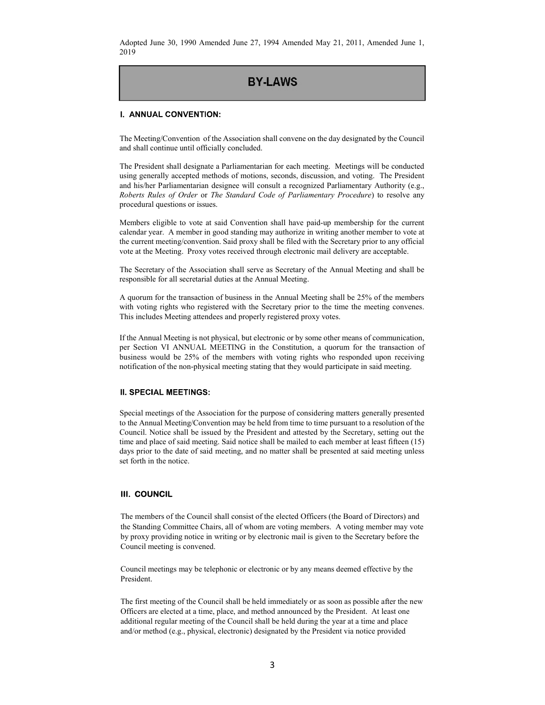Adopted June 30, 1990 Amended June 27, 1994 Amended May 21, 2011, Amended June 1, 2019

# **BY-LAWS**

## I. ANNUAL CONVENTION:

The Meeting/Convention of the Association shall convene on the day designated by the Council and shall continue until officially concluded.

The President shall designate a Parliamentarian for each meeting. Meetings will be conducted using generally accepted methods of motions, seconds, discussion, and voting. The President and his/her Parliamentarian designee will consult a recognized Parliamentary Authority (e.g., Roberts Rules of Order or The Standard Code of Parliamentary Procedure) to resolve any procedural questions or issues.

Members eligible to vote at said Convention shall have paid-up membership for the current calendar year. A member in good standing may authorize in writing another member to vote at the current meeting/convention. Said proxy shall be filed with the Secretary prior to any official vote at the Meeting. Proxy votes received through electronic mail delivery are acceptable.

The Secretary of the Association shall serve as Secretary of the Annual Meeting and shall be responsible for all secretarial duties at the Annual Meeting.

A quorum for the transaction of business in the Annual Meeting shall be 25% of the members with voting rights who registered with the Secretary prior to the time the meeting convenes. This includes Meeting attendees and properly registered proxy votes.

If the Annual Meeting is not physical, but electronic or by some other means of communication, per Section VI ANNUAL MEETING in the Constitution, a quorum for the transaction of business would be 25% of the members with voting rights who responded upon receiving notification of the non-physical meeting stating that they would participate in said meeting.

### **II. SPECIAL MEETINGS:**

Special meetings of the Association for the purpose of considering matters generally presented to the Annual Meeting/Convention may be held from time to time pursuant to a resolution of the Council. Notice shall be issued by the President and attested by the Secretary, setting out the time and place of said meeting. Said notice shall be mailed to each member at least fifteen (15) days prior to the date of said meeting, and no matter shall be presented at said meeting unless set forth in the notice.

## III. COUNCIL

The members of the Council shall consist of the elected Officers (the Board of Directors) and the Standing Committee Chairs, all of whom are voting members. A voting member may vote by proxy providing notice in writing or by electronic mail is given to the Secretary before the Council meeting is convened.

Council meetings may be telephonic or electronic or by any means deemed effective by the President.

The first meeting of the Council shall be held immediately or as soon as possible after the new Officers are elected at a time, place, and method announced by the President. At least one additional regular meeting of the Council shall be held during the year at a time and place and/or method (e.g., physical, electronic) designated by the President via notice provided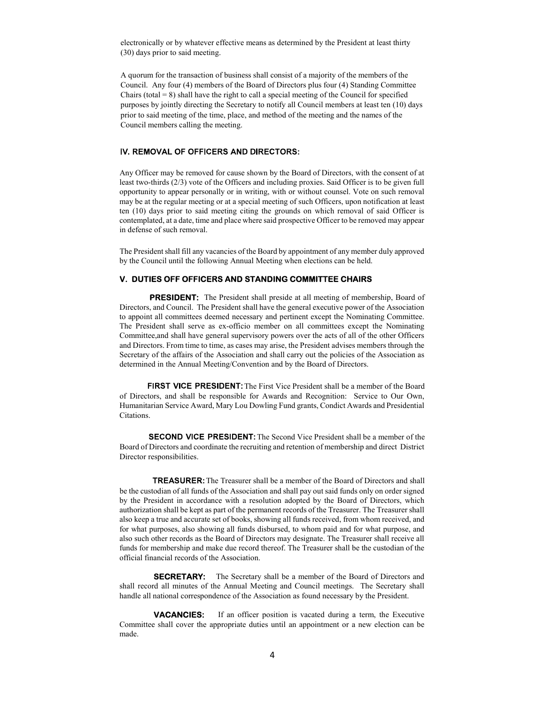electronically or by whatever effective means as determined by the President at least thirty (30) days prior to said meeting.

A quorum for the transaction of business shall consist of a majority of the members of the Council. Any four (4) members of the Board of Directors plus four (4) Standing Committee Chairs (total  $= 8$ ) shall have the right to call a special meeting of the Council for specified purposes by jointly directing the Secretary to notify all Council members at least ten (10) days prior to said meeting of the time, place, and method of the meeting and the names of the Council members calling the meeting.

## IV. REMOVAL OF OFFICERS AND DIRECTORS:

Any Officer may be removed for cause shown by the Board of Directors, with the consent of at least two-thirds (2/3) vote of the Officers and including proxies. Said Officer is to be given full opportunity to appear personally or in writing, with or without counsel. Vote on such removal may be at the regular meeting or at a special meeting of such Officers, upon notification at least ten (10) days prior to said meeting citing the grounds on which removal of said Officer is contemplated, at a date, time and place where said prospective Officer to be removed may appear in defense of such removal.

The President shall fill any vacancies of the Board by appointment of any member duly approved by the Council until the following Annual Meeting when elections can be held.

## V. DUTIES OFF OFFICERS AND STANDING COMMITTEE CHAIRS

PRESIDENT: The President shall preside at all meeting of membership, Board of Directors, and Council. The President shall have the general executive power of the Association to appoint all committees deemed necessary and pertinent except the Nominating Committee. The President shall serve as ex-officio member on all committees except the Nominating Committee,and shall have general supervisory powers over the acts of all of the other Officers and Directors. From time to time, as cases may arise, the President advises members through the Secretary of the affairs of the Association and shall carry out the policies of the Association as determined in the Annual Meeting/Convention and by the Board of Directors.

FIRST VICE PRESIDENT: The First Vice President shall be a member of the Board of Directors, and shall be responsible for Awards and Recognition: Service to Our Own, Humanitarian Service Award, Mary Lou Dowling Fund grants, Condict Awards and Presidential Citations.

**SECOND VICE PRESIDENT:** The Second Vice President shall be a member of the Board of Directors and coordinate the recruiting and retention of membership and direct District Director responsibilities.

TREASURER: The Treasurer shall be a member of the Board of Directors and shall be the custodian of all funds of the Association and shall pay out said funds only on order signed by the President in accordance with a resolution adopted by the Board of Directors, which authorization shall be kept as part of the permanent records of the Treasurer. The Treasurer shall also keep a true and accurate set of books, showing all funds received, from whom received, and for what purposes, also showing all funds disbursed, to whom paid and for what purpose, and also such other records as the Board of Directors may designate. The Treasurer shall receive all funds for membership and make due record thereof. The Treasurer shall be the custodian of the official financial records of the Association.

**SECRETARY:** The Secretary shall be a member of the Board of Directors and shall record all minutes of the Annual Meeting and Council meetings. The Secretary shall handle all national correspondence of the Association as found necessary by the President.

 VACANCIES: If an officer position is vacated during a term, the Executive Committee shall cover the appropriate duties until an appointment or a new election can be made.